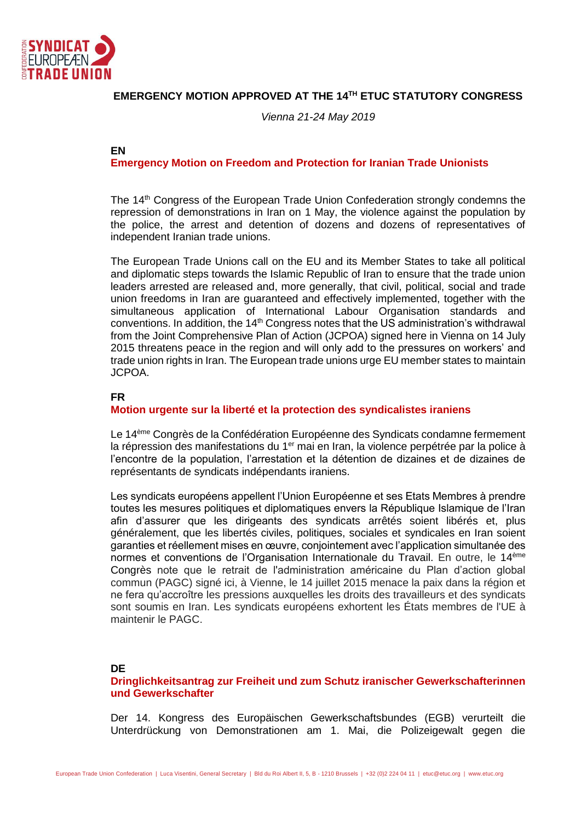

# **EMERGENCY MOTION APPROVED AT THE 14TH ETUC STATUTORY CONGRESS**

*Vienna 21-24 May 2019*

## **EN**

**Emergency Motion on Freedom and Protection for Iranian Trade Unionists**

The 14<sup>th</sup> Congress of the European Trade Union Confederation strongly condemns the repression of demonstrations in Iran on 1 May, the violence against the population by the police, the arrest and detention of dozens and dozens of representatives of independent Iranian trade unions.

The European Trade Unions call on the EU and its Member States to take all political and diplomatic steps towards the Islamic Republic of Iran to ensure that the trade union leaders arrested are released and, more generally, that civil, political, social and trade union freedoms in Iran are guaranteed and effectively implemented, together with the simultaneous application of International Labour Organisation standards and conventions. In addition, the  $14<sup>th</sup>$  Congress notes that the US administration's withdrawal from the Joint Comprehensive Plan of Action (JCPOA) signed here in Vienna on 14 July 2015 threatens peace in the region and will only add to the pressures on workers' and trade union rights in Iran. The European trade unions urge EU member states to maintain JCPOA.

#### **FR**

#### **Motion urgente sur la liberté et la protection des syndicalistes iraniens**

Le 14<sup>ème</sup> Congrès de la Confédération Européenne des Syndicats condamne fermement la répression des manifestations du 1<sup>er</sup> mai en Iran, la violence perpétrée par la police à l'encontre de la population, l'arrestation et la détention de dizaines et de dizaines de représentants de syndicats indépendants iraniens.

Les syndicats européens appellent l'Union Européenne et ses Etats Membres à prendre toutes les mesures politiques et diplomatiques envers la République Islamique de l'Iran afin d'assurer que les dirigeants des syndicats arrêtés soient libérés et, plus généralement, que les libertés civiles, politiques, sociales et syndicales en Iran soient garanties et réellement mises en œuvre, conjointement avec l'application simultanée des normes et conventions de l'Organisation Internationale du Travail. En outre, le 14ème Congrès note que le retrait de l'administration américaine du Plan d'action global commun (PAGC) signé ici, à Vienne, le 14 juillet 2015 menace la paix dans la région et ne fera qu'accroître les pressions auxquelles les droits des travailleurs et des syndicats sont soumis en Iran. Les syndicats européens exhortent les États membres de l'UE à maintenir le PAGC.

## **DE**

## **Dringlichkeitsantrag zur Freiheit und zum Schutz iranischer Gewerkschafterinnen und Gewerkschafter**

Der 14. Kongress des Europäischen Gewerkschaftsbundes (EGB) verurteilt die Unterdrückung von Demonstrationen am 1. Mai, die Polizeigewalt gegen die